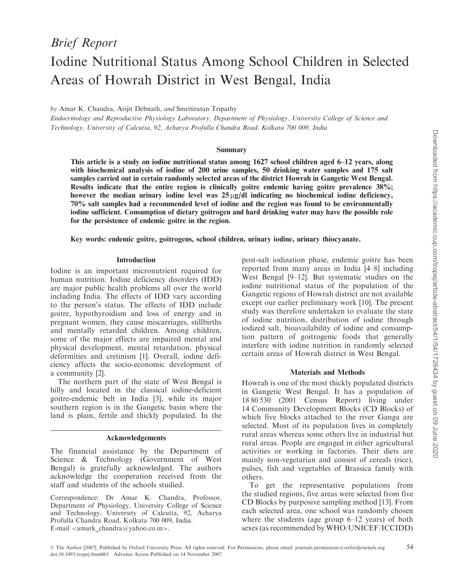# Iodine Nutritional Status Among School Children in Selected Areas of Howrah District in West Bengal, India

by Amar K. Chandra, Arijit Debnath, and Smritiratan Tripathy

Endocrinology and Reproductive Physiology Laboratory, Department of Physiology, University College of Science and Technology, University of Calcutta, 92, Acharya Profulla Chandra Road, Kolkata 700 009, India

#### Summary

This article is a study on iodine nutritional status among 1627 school children aged 6–12 years, along with biochemical analysis of iodine of 200 urine samples, 50 drinking water samples and 175 salt samples carried out in certain randomly selected areas of the district Howrah in Gangetic West Bengal. Results indicate that the entire region is clinically goitre endemic having goitre prevalence 38%; however the median urinary iodine level was  $25 \mu g/dl$  indicating no biochemical iodine deficiency, 70% salt samples had a recommended level of iodine and the region was found to be environmentally iodine sufficient. Consumption of dietary goitrogen and hard drinking water may have the possible role for the persistence of endemic goitre in the region.

Key words: endemic goitre, goitrogens, school children, urinary iodine, urinary thiocyanate.

#### Introduction

Iodine is an important micronutrient required for human nutrition. Iodine deficiency disorders (IDD) are major public health problems all over the world including India. The effects of IDD vary according to the person's status. The effects of IDD include goitre, hypothyroidism and loss of energy and in pregnant women, they cause miscarriages, stillbirths and mentally retarded children. Among children, some of the major effects are impaired mental and physical development, mental retardation, physical deformities and cretinism [1]. Overall, iodine deficiency affects the socio-economic development of a community [2].

The northern part of the state of West Bengal is hilly and located in the classical iodine-deficient goitre-endemic belt in India [3], while its major southern region is in the Gangetic basin where the land is plain, fertile and thickly populated. In the

#### Acknowledgements

The financial assistance by the Department of Science & Technology (Government of West Bengal) is gratefully acknowledged. The authors acknowledge the cooperation received from the staff and students of the schools studied.

Correspondence: Dr Amar K. Chandra, Professor, Department of Physiology, University College of Science and Technology, University of Calcutta, 92, Acharya Profulla Chandra Road, Kolkata 700 009, India. E-mail  $\langle$ amark chandra@yahoo.co.in>.

post-salt iodization phase, endemic goitre has been reported from many areas in India [4–8] including West Bengal [9–12]. But systematic studies on the iodine nutritional status of the population of the Gangetic regions of Howrah district are not available except our earlier preliminary work [10]. The present study was therefore undertaken to evaluate the state of iodine nutrition, distribution of iodine through iodized salt, bioavailability of iodine and consumption pattern of goitrogenic foods that generally interfere with iodine nutrition in randomly selected certain areas of Howrah district in West Bengal.

## Materials and Methods

Howrah is one of the most thickly populated districts in Gangetic West Bengal. It has a population of 18 80 530 (2001 Census Report) living under 14 Community Development Blocks (CD Blocks) of which five blocks attached to the river Ganga are selected. Most of its population lives in completely rural areas whereas some others live in industrial but rural areas. People are engaged in either agricultural activities or working in factories. Their diets are mainly non-vegetarian and consist of cereals (rice), pulses, fish and vegetables of Brassica family with others.

To get the representative populations from the studied regions, five areas were selected from five CD Blocks by purposive sampling method [13]. From each selected area, one school was randomly chosen where the students (age group 6–12 years) of both sexes (as recommended by WHO/UNICEF/ICCIDD)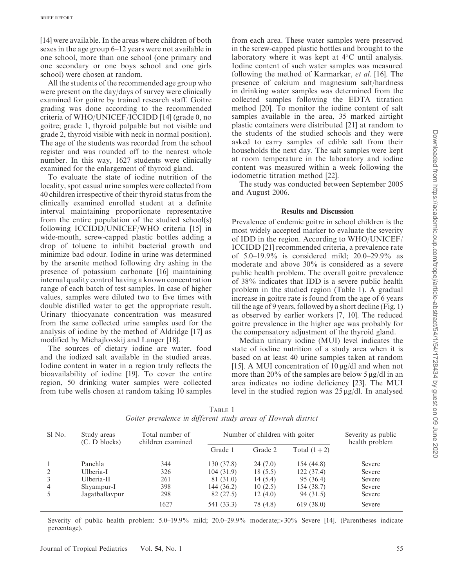[14] were available. In the areas where children of both sexes in the age group 6–12 years were not available in one school, more than one school (one primary and one secondary or one boys school and one girls school) were chosen at random.

All the students of the recommended age group who were present on the day/days of survey were clinically examined for goitre by trained research staff. Goitre grading was done according to the recommended criteria of WHO/UNICEF/ICCIDD [14] (grade 0, no goitre; grade 1, thyroid palpable but not visible and grade 2, thyroid visible with neck in normal position). The age of the students was recorded from the school register and was rounded off to the nearest whole number. In this way, 1627 students were clinically examined for the enlargement of thyroid gland.

To evaluate the state of iodine nutrition of the locality, spot casual urine samples were collected from 40 children irrespective of their thyroid status from the clinically examined enrolled student at a definite interval maintaining proportionate representative from the entire population of the studied school(s) following ICCIDD/UNICEF/WHO criteria [15] in wide-mouth, screw-capped plastic bottles adding a drop of toluene to inhibit bacterial growth and minimize bad odour. Iodine in urine was determined by the arsenite method following dry ashing in the presence of potassium carbonate [16] maintaining internal quality control having a known concentration range of each batch of test samples. In case of higher values, samples were diluted two to five times with double distilled water to get the appropriate result. Urinary thiocyanate concentration was measured from the same collected urine samples used for the analysis of iodine by the method of Aldridge [17] as modified by Michajlovskij and Langer [18].

The sources of dietary iodine are water, food and the iodized salt available in the studied areas. Iodine content in water in a region truly reflects the bioavailability of iodine [19]. To cover the entire region, 50 drinking water samples were collected from tube wells chosen at random taking 10 samples

from each area. These water samples were preserved in the screw-capped plastic bottles and brought to the laboratory where it was kept at  $4^{\circ}$ C until analysis. Iodine content of such water samples was measured following the method of Karmarkar, et al. [16]. The presence of calcium and magnesium salt/hardness in drinking water samples was determined from the collected samples following the EDTA titration method [20]. To monitor the iodine content of salt samples available in the area, 35 marked airtight plastic containers were distributed [21] at random to the students of the studied schools and they were asked to carry samples of edible salt from their households the next day. The salt samples were kept at room temperature in the laboratory and iodine content was measured within a week following the iodometric titration method [22].

The study was conducted between September 2005 and August 2006.

### Results and Discussion

Prevalence of endemic goitre in school children is the most widely accepted marker to evaluate the severity of IDD in the region. According to WHO/UNICEF/ ICCIDD [21] recommended criteria, a prevalence rate of 5.0–19.9% is considered mild; 20.0–29.9% as moderate and above 30% is considered as a severe public health problem. The overall goitre prevalence of 38% indicates that IDD is a severe public health problem in the studied region (Table 1). A gradual increase in goitre rate is found from the age of 6 years till the age of 9 years, followed by a short decline (Fig. 1) as observed by earlier workers [7, 10]. The reduced goitre prevalence in the higher age was probably for the compensatory adjustment of the thyroid gland.

Median urinary iodine (MUI) level indicates the state of iodine nutrition of a study area when it is based on at least 40 urine samples taken at random [15]. A MUI concentration of  $10 \mu g/dl$  and when not more than 20% of the samples are below  $5 \mu g/dl$  in an area indicates no iodine deficiency [23]. The MUI level in the studied region was  $25 \mu g/dl$ . In analysed

| Sl No.        | Study areas<br>(C. D blocks) | Total number of<br>children examined | Number of children with goiter |          |               | Severity as public<br>health problem |
|---------------|------------------------------|--------------------------------------|--------------------------------|----------|---------------|--------------------------------------|
|               |                              |                                      | Grade 1                        | Grade 2  | Total $(1+2)$ |                                      |
|               | Panchla                      | 344                                  | 130 (37.8)                     | 24(7.0)  | 154(44.8)     | Severe                               |
| $\mathcal{L}$ | Ulberia-I                    | 326                                  | 104(31.9)                      | 18(5.5)  | 122(37.4)     | Severe                               |
|               | Ulberia-II                   | 261                                  | 81 (31.0)                      | 14(5.4)  | 95 (36.4)     | Severe                               |
| 4             | Shyampur-I                   | 398                                  | 144 (36.2)                     | 10(2.5)  | 154 (38.7)    | Severe                               |
|               | Jagatballavpur               | 298                                  | 82 (27.5)                      | 12(4.0)  | 94 (31.5)     | Severe                               |
|               |                              | 1627                                 | 541 (33.3)                     | 78 (4.8) | 619(38.0)     | Severe                               |

TABLE 1 Goiter prevalence in different study areas of Howrah district

Severity of public health problem: 5.0–19.9% mild; 20.0–29.9% moderate;>30% Severe [14]. (Parentheses indicate percentage).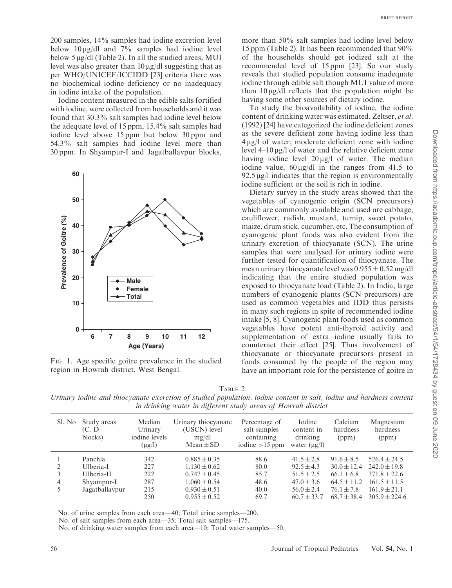200 samples, 14% samples had iodine excretion level below  $10 \mu g/dl$  and  $7\%$  samples had iodine level

below  $5 \mu g/dl$  (Table 2). In all the studied areas, MUI level was also greater than  $10 \mu g/dl$  suggesting that as per WHO/UNICEF/ICCIDD [23] criteria there was no biochemical iodine deficiency or no inadequacy in iodine intake of the population.

Iodine content measured in the edible salts fortified with iodine, were collected from households and it was found that 30.3% salt samples had iodine level below the adequate level of 15 ppm, 15.4% salt samples had iodine level above 15 ppm but below 30 ppm and 54.3% salt samples had iodine level more than 30 ppm. In Shyampur-I and Jagatballavpur blocks,



FIG. 1. Age specific goitre prevalence in the studied region in Howrah district, West Bengal.

more than 50% salt samples had iodine level below 15 ppm (Table 2). It has been recommended that 90% of the households should get iodized salt at the recommended level of 15 ppm [23]. So our study reveals that studied population consume inadequate iodine through edible salt though MUI value of more than  $10 \mu g/dl$  reflects that the population might be having some other sources of dietary iodine.

To study the bioavailability of iodine, the iodine content of drinking water was estimated. Zeltser, et al. (1992) [24] have categorized the iodine deficient zones as the severe deficient zone having iodine less than  $4 \mu g/l$  of water; moderate deficient zone with iodine level  $4-10 \mu g/l$  of water and the relative deficient zone having iodine level  $20 \mu g/l$  of water. The median iodine value,  $60 \mu g/dl$  in the ranges from 41.5 to  $92.5 \mu g/l$  indicates that the region is environmentally iodine sufficient or the soil is rich in iodine.

Dietary survey in the study areas showed that the vegetables of cyanogenic origin (SCN precursors) which are commonly available and used are cabbage, cauliflower, radish, mustard, turnip, sweet potato, maize, drum stick, cucumber, etc. The consumption of cyanogenic plant foods was also evident from the urinary excretion of thiocyanate (SCN). The urine samples that were analysed for urinary iodine were further tested for quantification of thiocyanate. The mean urinary thiocyanate level was  $0.955 \pm 0.52$  mg/dl indicating that the entire studied population was exposed to thiocyanate load (Table 2). In India, large numbers of cyanogenic plants (SCN precursors) are used as common vegetables and IDD thus persists in many such regions in spite of recommended iodine intake [5, 8]. Cyanogenic plant foods used as common vegetables have potent anti-thyroid activity and supplementation of extra iodine usually fails to counteract their effect [25]. Thus involvement of thiocyanate or thiocyanate precursors present in foods consumed by the people of the region may have an important role for the persistence of goitre in

TABLE 2

Urinary iodine and thiocyanate excretion of studied population, iodine content in salt, iodine and hardness content in drinking water in different study areas of Howrah district

| Sl. No             | Study areas<br>(C. D<br>blocks)                                    | Median<br>Urinary<br>iodine levels<br>$(\mu g/l)$ | Urinary thiocyanate<br>(USCN) level<br>mg/dl<br>$Mean \pm SD$                                                        | Percentage of<br>salt samples<br>containing<br>iodine $>15$ ppm | Iodine<br>content in<br>drinking<br>water $(\mu g/l)$                                                 | Calcium<br>hardness<br>(ppm)                                                                              | Magnesium<br>hardness<br>(ppm)                                                                                  |
|--------------------|--------------------------------------------------------------------|---------------------------------------------------|----------------------------------------------------------------------------------------------------------------------|-----------------------------------------------------------------|-------------------------------------------------------------------------------------------------------|-----------------------------------------------------------------------------------------------------------|-----------------------------------------------------------------------------------------------------------------|
| $\mathcal{L}$<br>4 | Panchla<br>Ulberia-I<br>Ulberia-II<br>Shyampur-I<br>Jagatballavpur | 342<br>227<br>222<br>287<br>215<br>250            | $0.885 \pm 0.35$<br>$1.130 \pm 0.62$<br>$0.747 \pm 0.45$<br>$1.060 \pm 0.54$<br>$0.930 \pm 0.51$<br>$0.955 \pm 0.52$ | 88.6<br>80.0<br>85.7<br>48.6<br>40.0<br>69.7                    | $41.5 \pm 2.8$<br>$92.5 + 4.3$<br>$51.5 + 2.5$<br>$47.0 \pm 3.6$<br>$56.0 \pm 2.4$<br>$60.7 \pm 33.7$ | $91.6 \pm 8.5$<br>$30.0 \pm 12.4$<br>$66.1 \pm 6.8$<br>$64.5 \pm 11.2$<br>$76.1 \pm 7.8$<br>$68.7 + 38.4$ | $526.4 + 24.5$<br>$242.0 \pm 19.8$<br>$371.8 + 22.6$<br>$161.5 \pm 11.5$<br>$161.9 \pm 21.1$<br>$305.9 + 224.6$ |

No. of urine samples from each area—40; Total urine samples—200.

No. of salt samples from each area—35; Total salt samples—175.

No. of drinking water samples from each area—10; Total water samples—50.